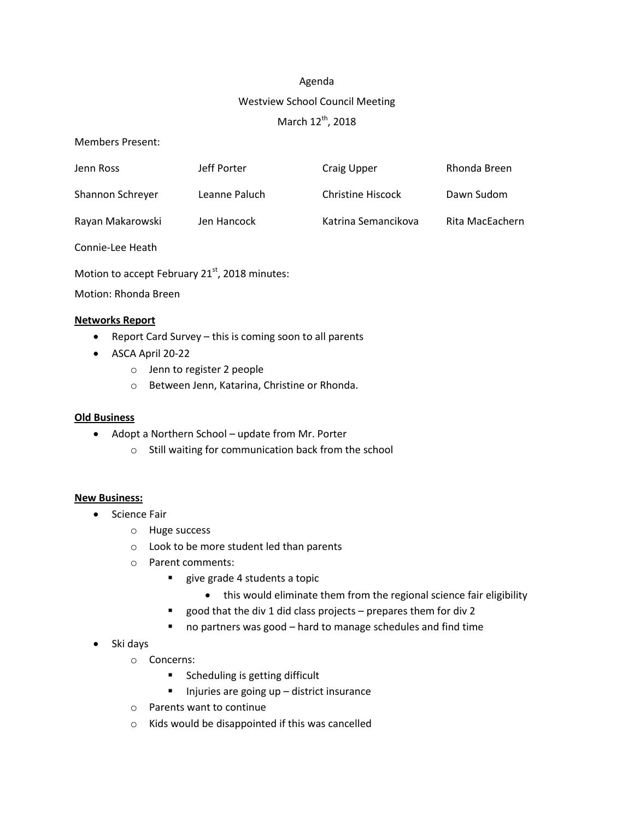# Agenda

# Westview School Council Meeting

# March 12<sup>th</sup>, 2018

Members Present:

| Jenn Ross        | Jeff Porter   | Craig Upper              | Rhonda Breen    |
|------------------|---------------|--------------------------|-----------------|
| Shannon Schreyer | Leanne Paluch | <b>Christine Hiscock</b> | Dawn Sudom      |
| Rayan Makarowski | Jen Hancock   | Katrina Semancikova      | Rita MacEachern |

Connie-Lee Heath

Motion to accept February 21<sup>st</sup>, 2018 minutes:

Motion: Rhonda Breen

## **Networks Report**

- Report Card Survey this is coming soon to all parents
- ASCA April 20-22
	- o Jenn to register 2 people
	- o Between Jenn, Katarina, Christine or Rhonda.

## **Old Business**

- Adopt a Northern School update from Mr. Porter
	- o Still waiting for communication back from the school

## **New Business:**

- Science Fair
	- o Huge success
	- o Look to be more student led than parents
	- o Parent comments:
		- **give grade 4 students a topic** 
			- this would eliminate them from the regional science fair eligibility
		- good that the div 1 did class projects prepares them for div 2
		- no partners was good hard to manage schedules and find time
- Ski days
	- o Concerns:
		- **Scheduling is getting difficult**
		- $\blacksquare$  Injuries are going up district insurance
	- o Parents want to continue
	- o Kids would be disappointed if this was cancelled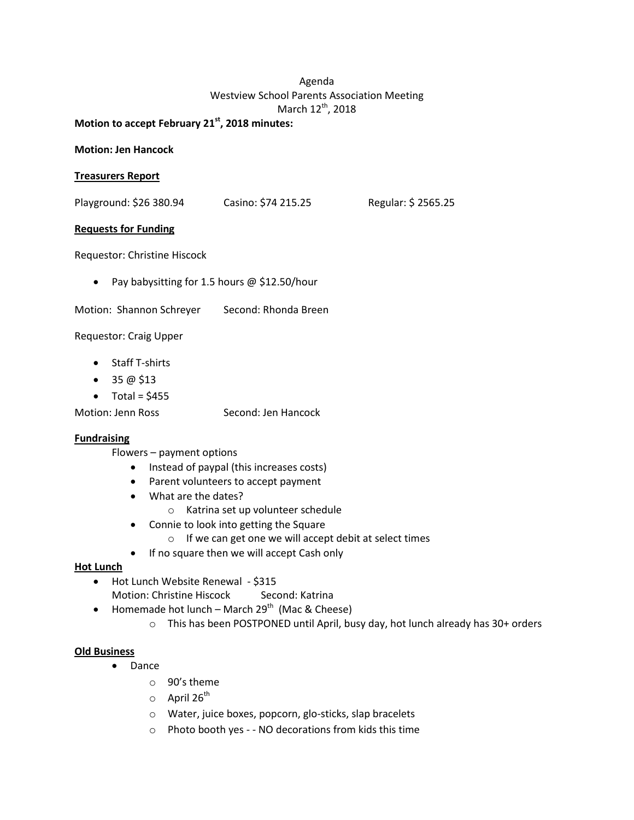# Agenda Westview School Parents Association Meeting March 12<sup>th</sup>, 2018

**Motion to accept February 21st , 2018 minutes:**

#### **Motion: Jen Hancock**

#### **Treasurers Report**

Playground: \$26 380.94 Casino: \$74 215.25 Regular: \$ 2565.25

#### **Requests for Funding**

Requestor: Christine Hiscock

- Pay babysitting for 1.5 hours @ \$12.50/hour
- Motion: Shannon Schreyer Second: Rhonda Breen

Requestor: Craig Upper

- Staff T-shirts
- $\bullet$  35 @ \$13
- $\bullet$  Total = \$455

Motion: Jenn Ross Second: Jen Hancock

#### **Fundraising**

Flowers – payment options

- Instead of paypal (this increases costs)
- Parent volunteers to accept payment
- What are the dates?
	- o Katrina set up volunteer schedule
- Connie to look into getting the Square
	- o If we can get one we will accept debit at select times
- If no square then we will accept Cash only

#### **Hot Lunch**

- Hot Lunch Website Renewal \$315 Motion: Christine Hiscock Second: Katrina
	-
- Homemade hot lunch March 29<sup>th</sup> (Mac & Cheese)
	- o This has been POSTPONED until April, busy day, hot lunch already has 30+ orders

#### **Old Business**

- Dance
	- o 90's theme
	- $\circ$  April 26<sup>th</sup>
	- o Water, juice boxes, popcorn, glo-sticks, slap bracelets
	- o Photo booth yes - NO decorations from kids this time